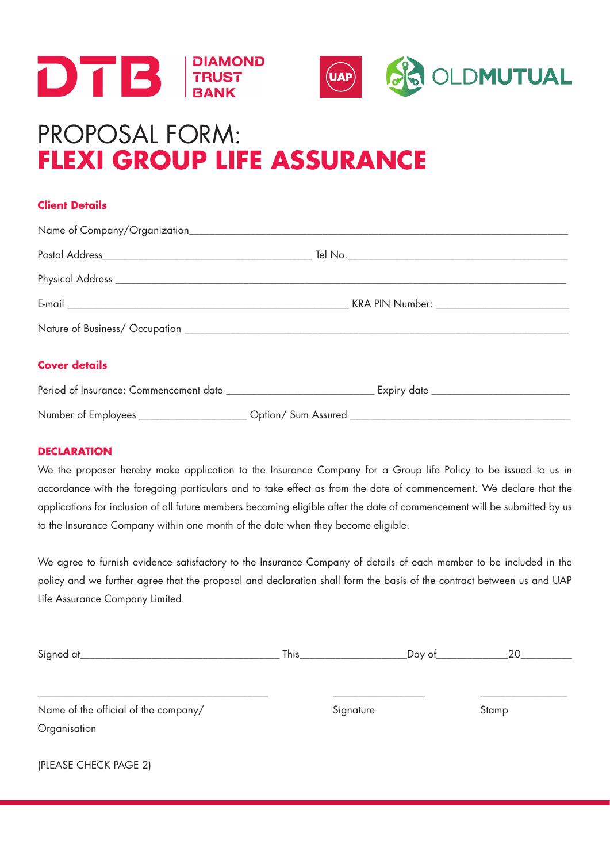



# PROPOSAL FORM: **FLEXI GROUP LIFE ASSURANCE**

# **Client Details**

| <b>Cover details</b> |  |  |  |  |  |
|----------------------|--|--|--|--|--|
|                      |  |  |  |  |  |
|                      |  |  |  |  |  |

## **DECLARATION**

(PLEASE CHECK PAGE 2)

We the proposer hereby make application to the Insurance Company for a Group life Policy to be issued to us in accordance with the foregoing particulars and to take effect as from the date of commencement. We declare that the applications for inclusion of all future members becoming eligible after the date of commencement will be submitted by us to the Insurance Company within one month of the date when they become eligible.

We agree to furnish evidence satisfactory to the Insurance Company of details of each member to be included in the policy and we further agree that the proposal and declaration shall form the basis of the contract between us and UAP Life Assurance Company Limited.

| Signed at                            | This      | _Day of__ | 20    |
|--------------------------------------|-----------|-----------|-------|
| Name of the official of the company/ | Signature |           | Stamp |
| Organisation                         |           |           |       |